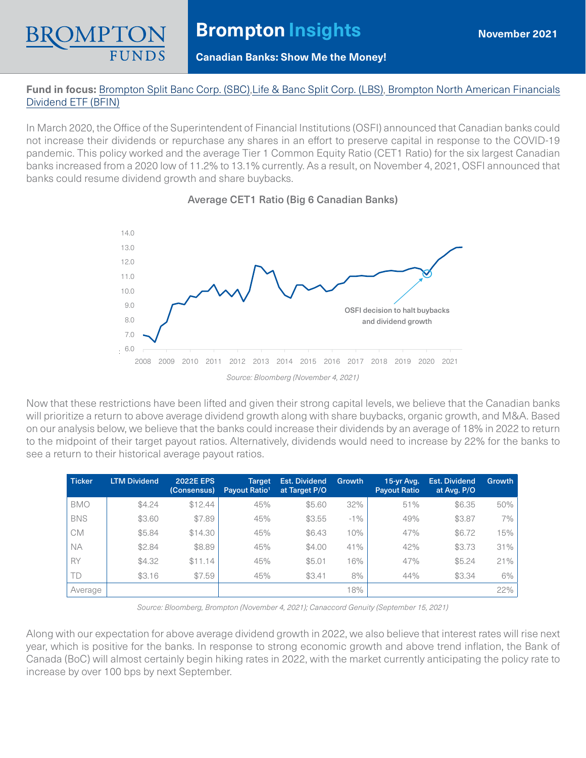

# **Brompton Insights**

### **Canadian Banks: Show Me the Money!**

## **Fund in focus:** [Brompton Split Banc Corp. \(SBC\)](https://www.bromptongroup.com/product/brompton-split-banc-corp/),[Life & Banc Split Corp. \(LBS\),](https://www.bromptongroup.com/product/life-banc-split-corp/) [Brompton North American Financials](https://www.bromptongroup.com/product/brompton-north-american-financials-dividend-etf/) [Dividend ETF \(BFIN\)](https://www.bromptongroup.com/product/brompton-north-american-financials-dividend-etf/)

In March 2020, the Office of the Superintendent of Financial Institutions (OSFI) announced that Canadian banks could not increase their dividends or repurchase any shares in an effort to preserve capital in response to the COVID-19 pandemic. This policy worked and the average Tier 1 Common Equity Ratio (CET1 Ratio) for the six largest Canadian banks increased from a 2020 low of 11.2% to 13.1% currently. As a result, on November 4, 2021, OSFI announced that banks could resume dividend growth and share buybacks.



## Average CET1 Ratio (Big 6 Canadian Banks)

Now that these restrictions have been lifted and given their strong capital levels, we believe that the Canadian banks will prioritize a return to above average dividend growth along with share buybacks, organic growth, and M&A. Based on our analysis below, we believe that the banks could increase their dividends by an average of 18% in 2022 to return to the midpoint of their target payout ratios. Alternatively, dividends would need to increase by 22% for the banks to see a return to their historical average payout ratios.

| <b>Ticker</b> | <b>LTM Dividend</b> | <b>2022E EPS</b><br>(Consensus) | <b>Target</b><br>Pavout Ratio <sup>1</sup> | <b>Est. Dividend</b><br>at Target P/O | Growth | 15-yr Avg.<br><b>Payout Ratio</b> | <b>Est. Dividend</b><br>at Avg. P/O | Growth |
|---------------|---------------------|---------------------------------|--------------------------------------------|---------------------------------------|--------|-----------------------------------|-------------------------------------|--------|
| <b>BMO</b>    | \$4.24              | \$12.44                         | 45%                                        | \$5.60                                | 32%    | 51%                               | \$6.35                              | 50%    |
| <b>BNS</b>    | \$3.60              | \$7.89                          | 45%                                        | \$3.55                                | $-1\%$ | 49%                               | \$3.87                              | 7%     |
| СM            | \$5.84              | \$14.30                         | 45%                                        | \$6.43                                | 10%    | 47%                               | \$6.72                              | 15%    |
| <b>NA</b>     | \$2.84              | \$8.89                          | 45%                                        | \$4.00                                | 41%    | 42%                               | \$3.73                              | 31%    |
| <b>RY</b>     | \$4.32              | 1.14<br>\$1                     | 45%                                        | \$5.01                                | 6%     | 47%                               | \$5.24                              | 21%    |
| TD            | \$3.16              | \$7.59                          | 45%                                        | \$3.41                                | 8%     | 44%                               | \$3.34                              | 6%     |
| Average       |                     |                                 |                                            |                                       | 18%    |                                   |                                     | 22%    |

*Source: Bloomberg, Brompton (November 4, 2021); Canaccord Genuity (September 15, 2021)*

Along with our expectation for above average dividend growth in 2022, we also believe that interest rates will rise next year, which is positive for the banks. In response to strong economic growth and above trend inflation, the Bank of Canada (BoC) will almost certainly begin hiking rates in 2022, with the market currently anticipating the policy rate to increase by over 100 bps by next September.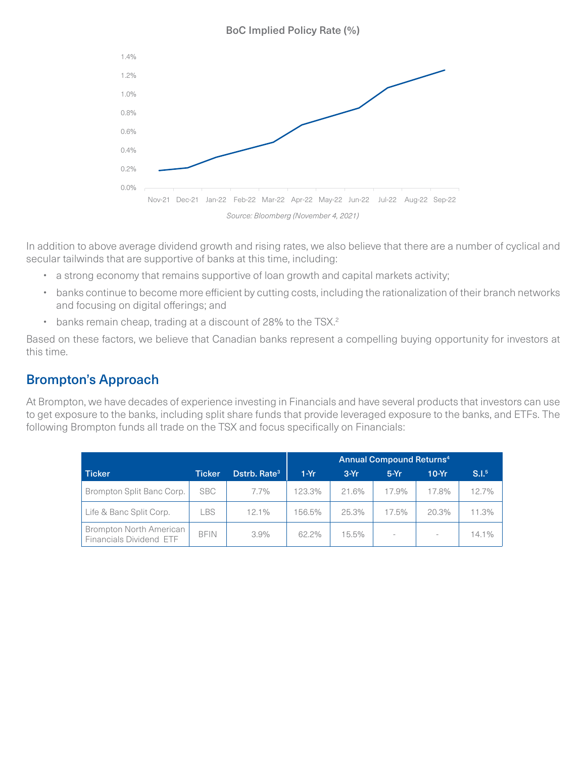#### BoC Implied Policy Rate (%)



In addition to above average dividend growth and rising rates, we also believe that there are a number of cyclical and secular tailwinds that are supportive of banks at this time, including:

- a strong economy that remains supportive of loan growth and capital markets activity;
- banks continue to become more efficient by cutting costs, including the rationalization of their branch networks and focusing on digital offerings; and
- banks remain cheap, trading at a discount of 28% to the TSX.<sup>2</sup>

Based on these factors, we believe that Canadian banks represent a compelling buying opportunity for investors at this time.

## Brompton's Approach

At Brompton, we have decades of experience investing in Financials and have several products that investors can use to get exposure to the banks, including split share funds that provide leveraged exposure to the banks, and ETFs. The following Brompton funds all trade on the TSX and focus specifically on Financials:

|                                                           |               |                          | <b>Annual Compound Returns4</b> |        |        |         |                   |
|-----------------------------------------------------------|---------------|--------------------------|---------------------------------|--------|--------|---------|-------------------|
| <b>Ticker</b>                                             | <b>Ticker</b> | Dstrb, Rate <sup>3</sup> | $1-Yr$                          | $3-Yr$ | $5-Yr$ | $10-Yr$ | S.I. <sup>5</sup> |
| Brompton Split Banc Corp.                                 | <b>SBC</b>    | 7.7%                     | 123.3%                          | 21.6%  | 17.9%  | 17.8%   | 12.7%             |
| Life & Banc Split Corp.                                   | <b>LBS</b>    | 12.1%                    | 156.5%                          | 25.3%  | 17.5%  | 20.3%   | 11.3%             |
| <b>Brompton North American</b><br>Financials Dividend ETF | <b>BFIN</b>   | $3.9\%$                  | 62.2%                           | 15.5%  |        | ×.      | 14.1%             |